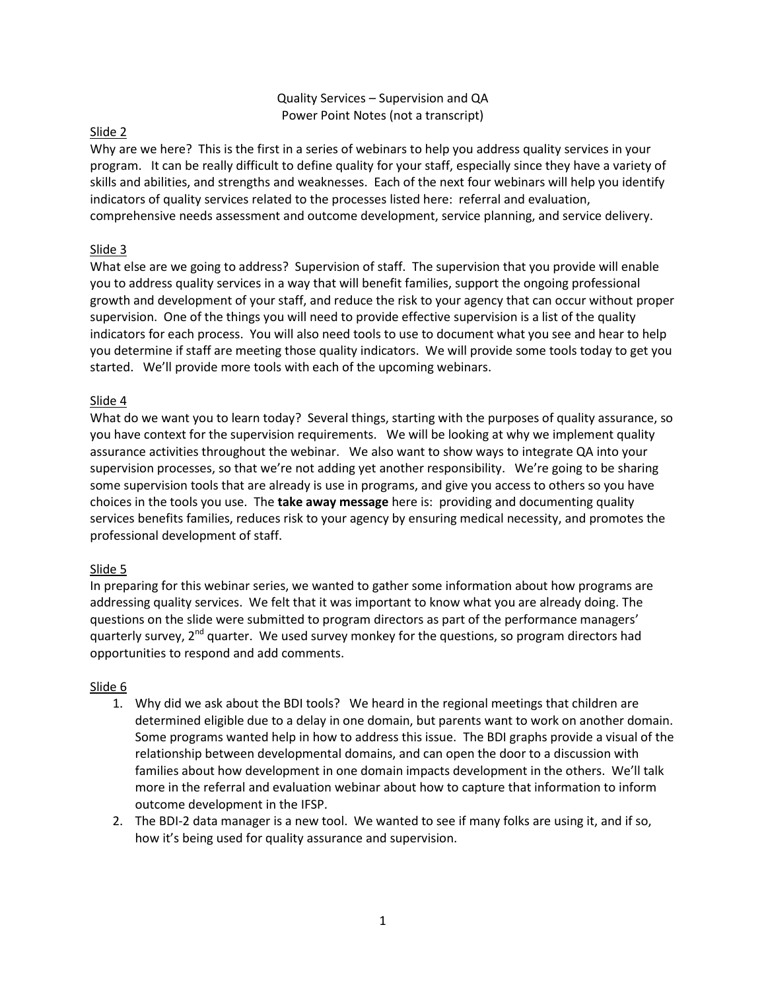### Quality Services – Supervision and QA Power Point Notes (not a transcript)

### Slide 2

Why are we here? This is the first in a series of webinars to help you address quality services in your program. It can be really difficult to define quality for your staff, especially since they have a variety of skills and abilities, and strengths and weaknesses. Each of the next four webinars will help you identify indicators of quality services related to the processes listed here: referral and evaluation, comprehensive needs assessment and outcome development, service planning, and service delivery.

# Slide 3

What else are we going to address? Supervision of staff. The supervision that you provide will enable you to address quality services in a way that will benefit families, support the ongoing professional growth and development of your staff, and reduce the risk to your agency that can occur without proper supervision. One of the things you will need to provide effective supervision is a list of the quality indicators for each process. You will also need tools to use to document what you see and hear to help you determine if staff are meeting those quality indicators. We will provide some tools today to get you started. We'll provide more tools with each of the upcoming webinars.

# Slide 4

What do we want you to learn today? Several things, starting with the purposes of quality assurance, so you have context for the supervision requirements. We will be looking at why we implement quality assurance activities throughout the webinar. We also want to show ways to integrate QA into your supervision processes, so that we're not adding yet another responsibility. We're going to be sharing some supervision tools that are already is use in programs, and give you access to others so you have choices in the tools you use. The **take away message** here is: providing and documenting quality services benefits families, reduces risk to your agency by ensuring medical necessity, and promotes the professional development of staff.

### Slide 5

In preparing for this webinar series, we wanted to gather some information about how programs are addressing quality services. We felt that it was important to know what you are already doing. The questions on the slide were submitted to program directors as part of the performance managers' quarterly survey, 2<sup>nd</sup> quarter. We used survey monkey for the questions, so program directors had opportunities to respond and add comments.

### Slide 6

- 1. Why did we ask about the BDI tools? We heard in the regional meetings that children are determined eligible due to a delay in one domain, but parents want to work on another domain. Some programs wanted help in how to address this issue. The BDI graphs provide a visual of the relationship between developmental domains, and can open the door to a discussion with families about how development in one domain impacts development in the others. We'll talk more in the referral and evaluation webinar about how to capture that information to inform outcome development in the IFSP.
- 2. The BDI-2 data manager is a new tool. We wanted to see if many folks are using it, and if so, how it's being used for quality assurance and supervision.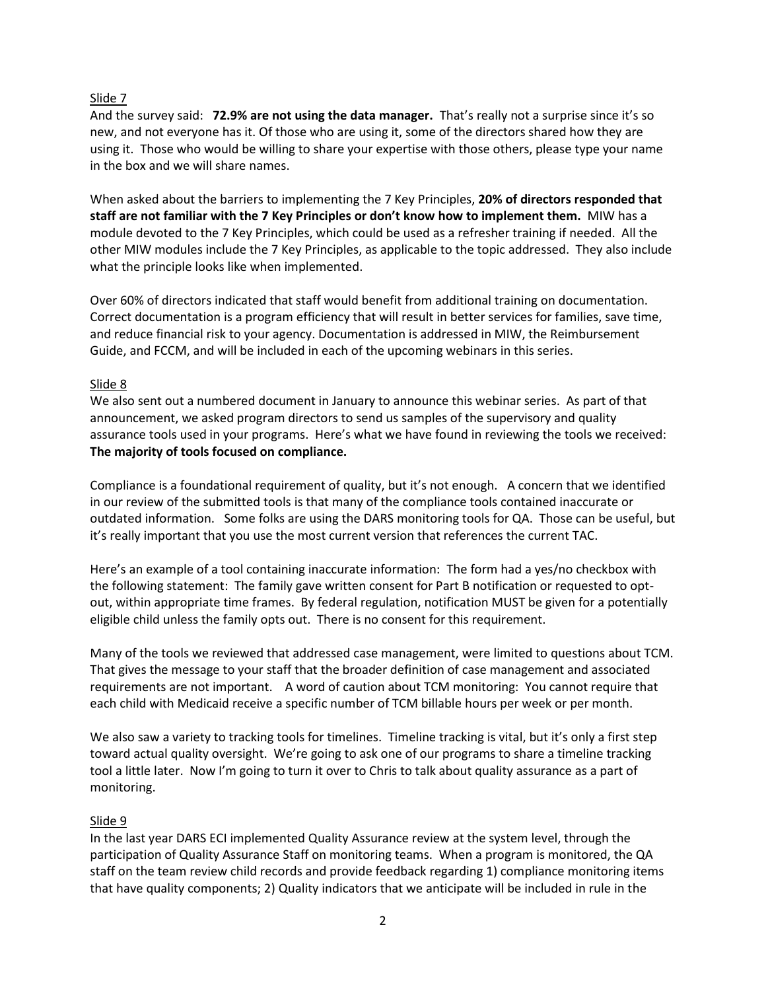### Slide 7

And the survey said: **72.9% are not using the data manager.** That's really not a surprise since it's so new, and not everyone has it. Of those who are using it, some of the directors shared how they are using it. Those who would be willing to share your expertise with those others, please type your name in the box and we will share names.

When asked about the barriers to implementing the 7 Key Principles, **20% of directors responded that staff are not familiar with the 7 Key Principles or don't know how to implement them.** MIW has a module devoted to the 7 Key Principles, which could be used as a refresher training if needed. All the other MIW modules include the 7 Key Principles, as applicable to the topic addressed. They also include what the principle looks like when implemented.

Over 60% of directors indicated that staff would benefit from additional training on documentation. Correct documentation is a program efficiency that will result in better services for families, save time, and reduce financial risk to your agency. Documentation is addressed in MIW, the Reimbursement Guide, and FCCM, and will be included in each of the upcoming webinars in this series.

### Slide 8

We also sent out a numbered document in January to announce this webinar series. As part of that announcement, we asked program directors to send us samples of the supervisory and quality assurance tools used in your programs. Here's what we have found in reviewing the tools we received: **The majority of tools focused on compliance.**

Compliance is a foundational requirement of quality, but it's not enough. A concern that we identified in our review of the submitted tools is that many of the compliance tools contained inaccurate or outdated information. Some folks are using the DARS monitoring tools for QA. Those can be useful, but it's really important that you use the most current version that references the current TAC.

Here's an example of a tool containing inaccurate information: The form had a yes/no checkbox with the following statement: The family gave written consent for Part B notification or requested to optout, within appropriate time frames. By federal regulation, notification MUST be given for a potentially eligible child unless the family opts out. There is no consent for this requirement.

Many of the tools we reviewed that addressed case management, were limited to questions about TCM. That gives the message to your staff that the broader definition of case management and associated requirements are not important. A word of caution about TCM monitoring: You cannot require that each child with Medicaid receive a specific number of TCM billable hours per week or per month.

We also saw a variety to tracking tools for timelines. Timeline tracking is vital, but it's only a first step toward actual quality oversight. We're going to ask one of our programs to share a timeline tracking tool a little later. Now I'm going to turn it over to Chris to talk about quality assurance as a part of monitoring.

### Slide 9

In the last year DARS ECI implemented Quality Assurance review at the system level, through the participation of Quality Assurance Staff on monitoring teams. When a program is monitored, the QA staff on the team review child records and provide feedback regarding 1) compliance monitoring items that have quality components; 2) Quality indicators that we anticipate will be included in rule in the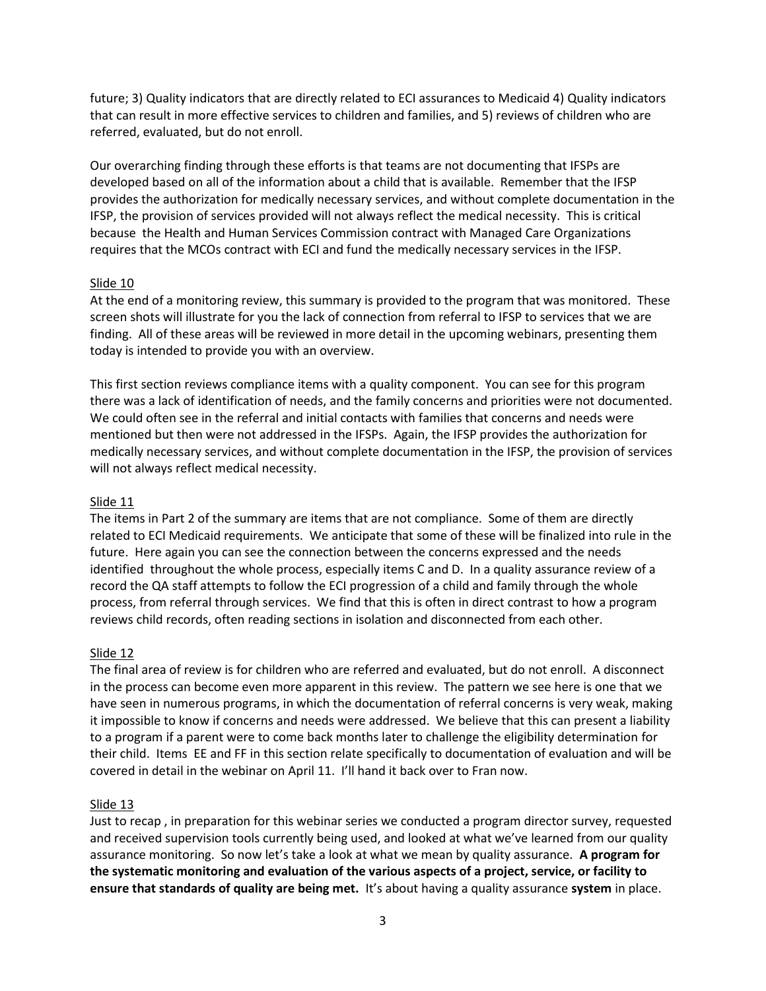future; 3) Quality indicators that are directly related to ECI assurances to Medicaid 4) Quality indicators that can result in more effective services to children and families, and 5) reviews of children who are referred, evaluated, but do not enroll.

Our overarching finding through these efforts is that teams are not documenting that IFSPs are developed based on all of the information about a child that is available. Remember that the IFSP provides the authorization for medically necessary services, and without complete documentation in the IFSP, the provision of services provided will not always reflect the medical necessity. This is critical because the Health and Human Services Commission contract with Managed Care Organizations requires that the MCOs contract with ECI and fund the medically necessary services in the IFSP.

#### Slide 10

At the end of a monitoring review, this summary is provided to the program that was monitored. These screen shots will illustrate for you the lack of connection from referral to IFSP to services that we are finding. All of these areas will be reviewed in more detail in the upcoming webinars, presenting them today is intended to provide you with an overview.

This first section reviews compliance items with a quality component. You can see for this program there was a lack of identification of needs, and the family concerns and priorities were not documented. We could often see in the referral and initial contacts with families that concerns and needs were mentioned but then were not addressed in the IFSPs. Again, the IFSP provides the authorization for medically necessary services, and without complete documentation in the IFSP, the provision of services will not always reflect medical necessity.

### Slide 11

The items in Part 2 of the summary are items that are not compliance. Some of them are directly related to ECI Medicaid requirements. We anticipate that some of these will be finalized into rule in the future. Here again you can see the connection between the concerns expressed and the needs identified throughout the whole process, especially items C and D. In a quality assurance review of a record the QA staff attempts to follow the ECI progression of a child and family through the whole process, from referral through services. We find that this is often in direct contrast to how a program reviews child records, often reading sections in isolation and disconnected from each other.

### Slide 12

The final area of review is for children who are referred and evaluated, but do not enroll. A disconnect in the process can become even more apparent in this review. The pattern we see here is one that we have seen in numerous programs, in which the documentation of referral concerns is very weak, making it impossible to know if concerns and needs were addressed. We believe that this can present a liability to a program if a parent were to come back months later to challenge the eligibility determination for their child. Items EE and FF in this section relate specifically to documentation of evaluation and will be covered in detail in the webinar on April 11. I'll hand it back over to Fran now.

### Slide 13

Just to recap , in preparation for this webinar series we conducted a program director survey, requested and received supervision tools currently being used, and looked at what we've learned from our quality assurance monitoring. So now let's take a look at what we mean by quality assurance. **A program for the systematic monitoring and evaluation of the various aspects of a project, service, or facility to ensure that standards of quality are being met.** It's about having a quality assurance **system** in place.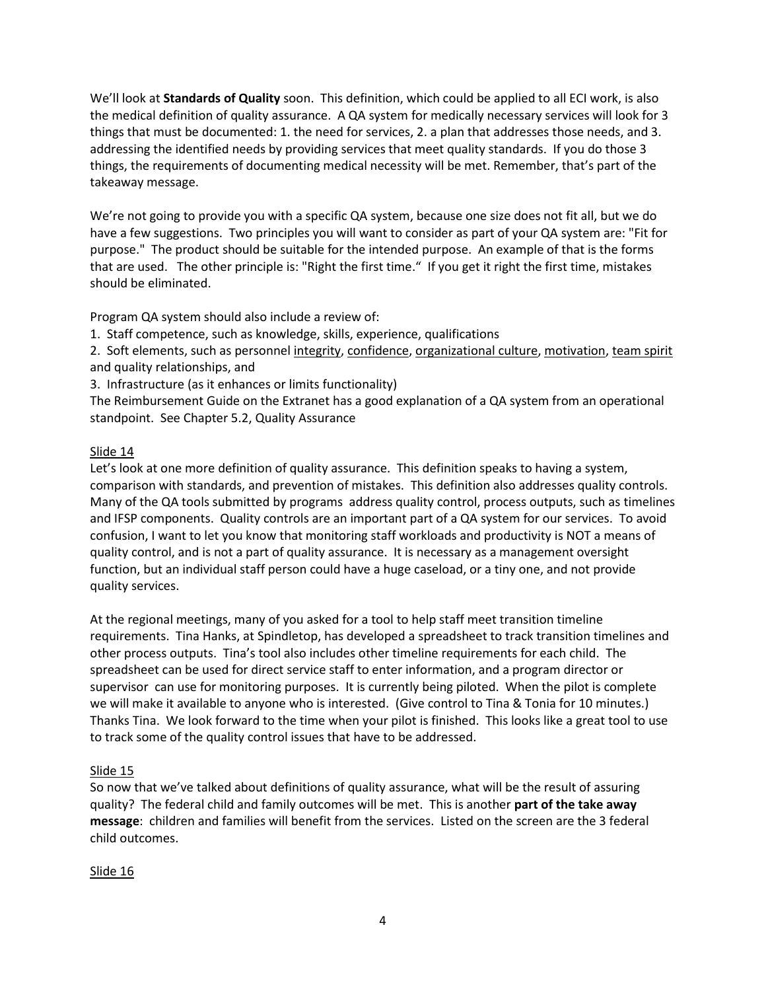We'll look at **Standards of Quality** soon. This definition, which could be applied to all ECI work, is also the medical definition of quality assurance. A QA system for medically necessary services will look for 3 things that must be documented: 1. the need for services, 2. a plan that addresses those needs, and 3. addressing the identified needs by providing services that meet quality standards. If you do those 3 things, the requirements of documenting medical necessity will be met. Remember, that's part of the takeaway message.

We're not going to provide you with a specific QA system, because one size does not fit all, but we do have a few suggestions. Two principles you will want to consider as part of your QA system are: "Fit for purpose." The product should be suitable for the intended purpose. An example of that is the forms that are used. The other principle is: "Right the first time." If you get it right the first time, mistakes should be eliminated.

Program QA system should also include a review of:

1. Staff competence, such as knowledge, skills, experience, qualifications

2. Soft elements, such as personne[l integrity,](http://en.wikipedia.org/wiki/Integrity) [confidence,](http://en.wikipedia.org/wiki/Confidence) [organizational culture,](http://en.wikipedia.org/wiki/Organizational_culture) [motivation,](http://en.wikipedia.org/wiki/Motivation) [team spirit](http://en.wikipedia.org/wiki/Team_spirit) and quality relationships, and

3. Infrastructure (as it enhances or limits functionality)

The Reimbursement Guide on the Extranet has a good explanation of a QA system from an operational standpoint. See Chapter 5.2, Quality Assurance

# Slide 14

Let's look at one more definition of quality assurance. This definition speaks to having a system, comparison with standards, and prevention of mistakes. This definition also addresses quality controls. Many of the QA tools submitted by programs address quality control, process outputs, such as timelines and IFSP components. Quality controls are an important part of a QA system for our services. To avoid confusion, I want to let you know that monitoring staff workloads and productivity is NOT a means of quality control, and is not a part of quality assurance. It is necessary as a management oversight function, but an individual staff person could have a huge caseload, or a tiny one, and not provide quality services.

At the regional meetings, many of you asked for a tool to help staff meet transition timeline requirements. Tina Hanks, at Spindletop, has developed a spreadsheet to track transition timelines and other process outputs. Tina's tool also includes other timeline requirements for each child. The spreadsheet can be used for direct service staff to enter information, and a program director or supervisor can use for monitoring purposes. It is currently being piloted. When the pilot is complete we will make it available to anyone who is interested. (Give control to Tina & Tonia for 10 minutes.) Thanks Tina. We look forward to the time when your pilot is finished. This looks like a great tool to use to track some of the quality control issues that have to be addressed.

# Slide 15

So now that we've talked about definitions of quality assurance, what will be the result of assuring quality? The federal child and family outcomes will be met. This is another **part of the take away message**: children and families will benefit from the services. Listed on the screen are the 3 federal child outcomes.

# Slide 16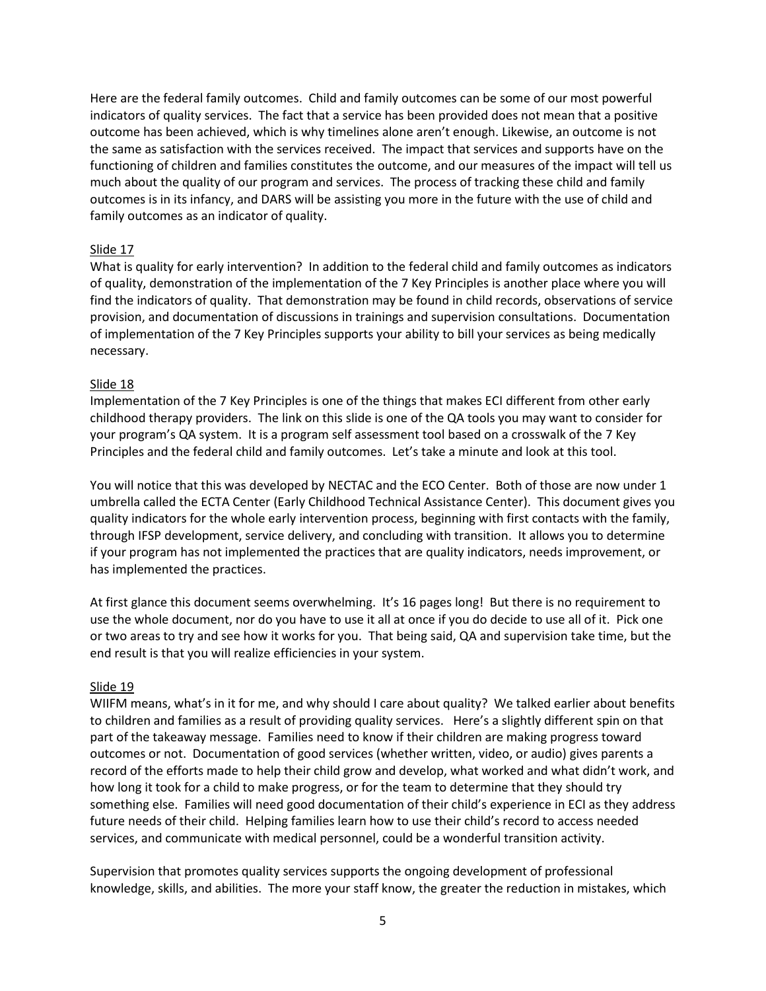Here are the federal family outcomes. Child and family outcomes can be some of our most powerful indicators of quality services. The fact that a service has been provided does not mean that a positive outcome has been achieved, which is why timelines alone aren't enough. Likewise, an outcome is not the same as satisfaction with the services received. The impact that services and supports have on the functioning of children and families constitutes the outcome, and our measures of the impact will tell us much about the quality of our program and services. The process of tracking these child and family outcomes is in its infancy, and DARS will be assisting you more in the future with the use of child and family outcomes as an indicator of quality.

#### Slide 17

What is quality for early intervention? In addition to the federal child and family outcomes as indicators of quality, demonstration of the implementation of the 7 Key Principles is another place where you will find the indicators of quality. That demonstration may be found in child records, observations of service provision, and documentation of discussions in trainings and supervision consultations. Documentation of implementation of the 7 Key Principles supports your ability to bill your services as being medically necessary.

#### Slide 18

Implementation of the 7 Key Principles is one of the things that makes ECI different from other early childhood therapy providers. The link on this slide is one of the QA tools you may want to consider for your program's QA system. It is a program self assessment tool based on a crosswalk of the 7 Key Principles and the federal child and family outcomes. Let's take a minute and look at this tool.

You will notice that this was developed by NECTAC and the ECO Center. Both of those are now under 1 umbrella called the ECTA Center (Early Childhood Technical Assistance Center). This document gives you quality indicators for the whole early intervention process, beginning with first contacts with the family, through IFSP development, service delivery, and concluding with transition. It allows you to determine if your program has not implemented the practices that are quality indicators, needs improvement, or has implemented the practices.

At first glance this document seems overwhelming. It's 16 pages long! But there is no requirement to use the whole document, nor do you have to use it all at once if you do decide to use all of it. Pick one or two areas to try and see how it works for you. That being said, QA and supervision take time, but the end result is that you will realize efficiencies in your system.

### Slide 19

WIIFM means, what's in it for me, and why should I care about quality? We talked earlier about benefits to children and families as a result of providing quality services. Here's a slightly different spin on that part of the takeaway message. Families need to know if their children are making progress toward outcomes or not. Documentation of good services (whether written, video, or audio) gives parents a record of the efforts made to help their child grow and develop, what worked and what didn't work, and how long it took for a child to make progress, or for the team to determine that they should try something else. Families will need good documentation of their child's experience in ECI as they address future needs of their child. Helping families learn how to use their child's record to access needed services, and communicate with medical personnel, could be a wonderful transition activity.

Supervision that promotes quality services supports the ongoing development of professional knowledge, skills, and abilities. The more your staff know, the greater the reduction in mistakes, which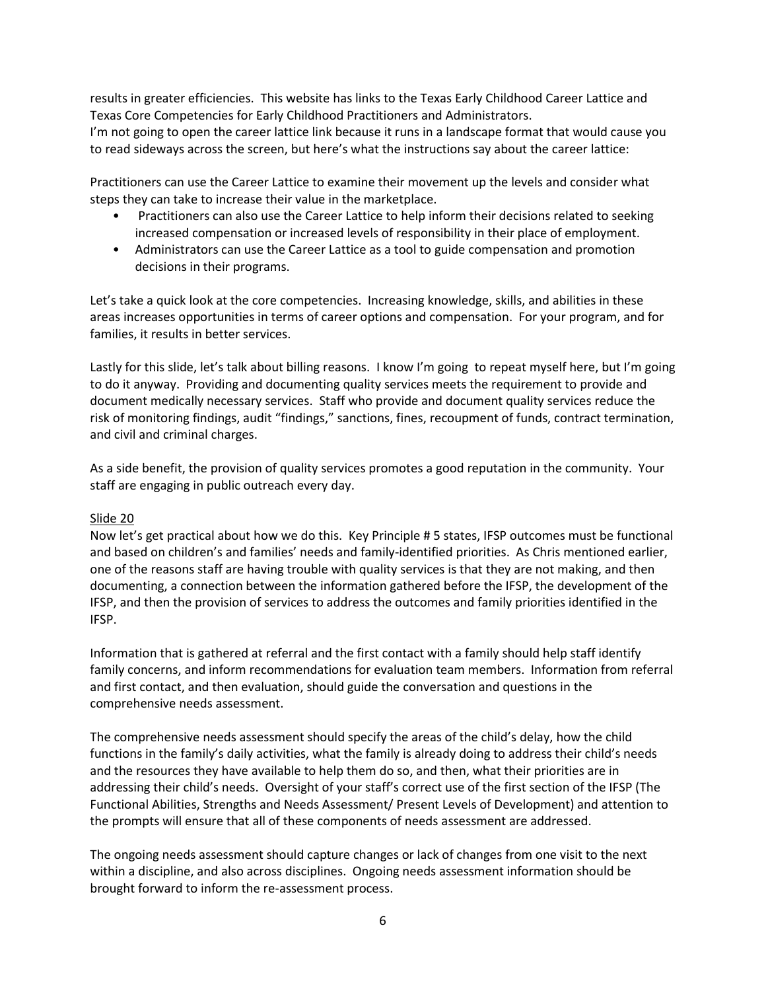results in greater efficiencies. This website has links to the Texas Early Childhood Career Lattice and Texas Core Competencies for Early Childhood Practitioners and Administrators.

I'm not going to open the career lattice link because it runs in a landscape format that would cause you to read sideways across the screen, but here's what the instructions say about the career lattice:

Practitioners can use the Career Lattice to examine their movement up the levels and consider what steps they can take to increase their value in the marketplace.

- Practitioners can also use the Career Lattice to help inform their decisions related to seeking increased compensation or increased levels of responsibility in their place of employment.
- Administrators can use the Career Lattice as a tool to guide compensation and promotion decisions in their programs.

Let's take a quick look at the core competencies. Increasing knowledge, skills, and abilities in these areas increases opportunities in terms of career options and compensation. For your program, and for families, it results in better services.

Lastly for this slide, let's talk about billing reasons. I know I'm going to repeat myself here, but I'm going to do it anyway. Providing and documenting quality services meets the requirement to provide and document medically necessary services. Staff who provide and document quality services reduce the risk of monitoring findings, audit "findings," sanctions, fines, recoupment of funds, contract termination, and civil and criminal charges.

As a side benefit, the provision of quality services promotes a good reputation in the community. Your staff are engaging in public outreach every day.

### Slide 20

Now let's get practical about how we do this. Key Principle # 5 states, IFSP outcomes must be functional and based on children's and families' needs and family-identified priorities. As Chris mentioned earlier, one of the reasons staff are having trouble with quality services is that they are not making, and then documenting, a connection between the information gathered before the IFSP, the development of the IFSP, and then the provision of services to address the outcomes and family priorities identified in the IFSP.

Information that is gathered at referral and the first contact with a family should help staff identify family concerns, and inform recommendations for evaluation team members. Information from referral and first contact, and then evaluation, should guide the conversation and questions in the comprehensive needs assessment.

The comprehensive needs assessment should specify the areas of the child's delay, how the child functions in the family's daily activities, what the family is already doing to address their child's needs and the resources they have available to help them do so, and then, what their priorities are in addressing their child's needs. Oversight of your staff's correct use of the first section of the IFSP (The Functional Abilities, Strengths and Needs Assessment/ Present Levels of Development) and attention to the prompts will ensure that all of these components of needs assessment are addressed.

The ongoing needs assessment should capture changes or lack of changes from one visit to the next within a discipline, and also across disciplines. Ongoing needs assessment information should be brought forward to inform the re-assessment process.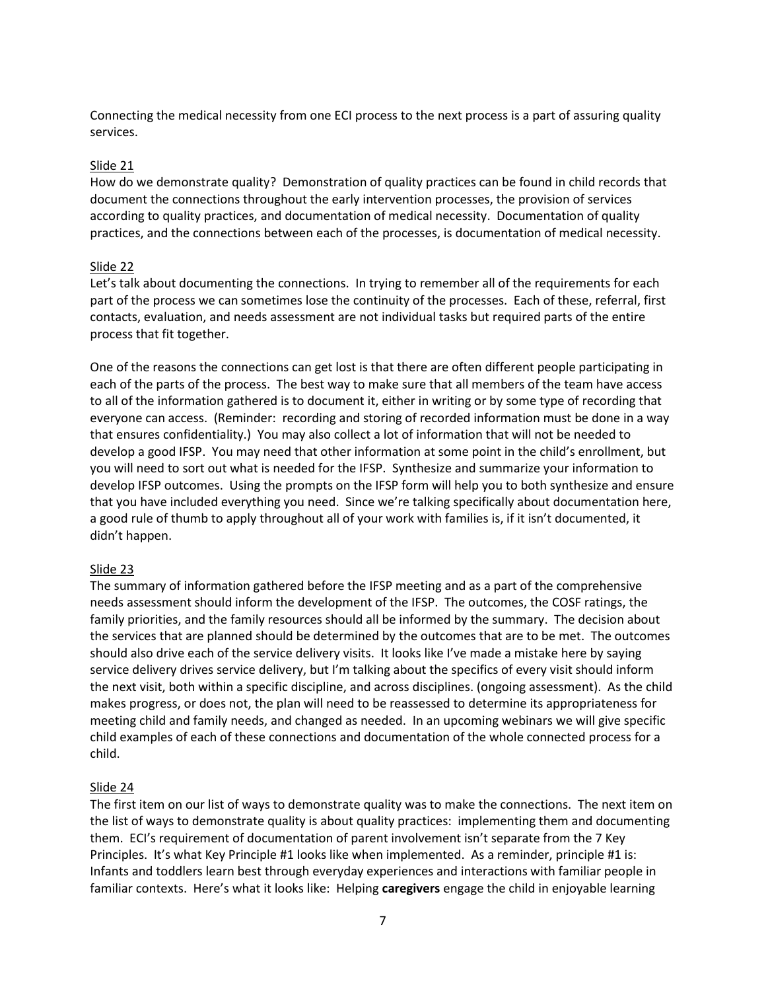Connecting the medical necessity from one ECI process to the next process is a part of assuring quality services.

### Slide 21

How do we demonstrate quality? Demonstration of quality practices can be found in child records that document the connections throughout the early intervention processes, the provision of services according to quality practices, and documentation of medical necessity. Documentation of quality practices, and the connections between each of the processes, is documentation of medical necessity.

# Slide 22

Let's talk about documenting the connections. In trying to remember all of the requirements for each part of the process we can sometimes lose the continuity of the processes. Each of these, referral, first contacts, evaluation, and needs assessment are not individual tasks but required parts of the entire process that fit together.

One of the reasons the connections can get lost is that there are often different people participating in each of the parts of the process. The best way to make sure that all members of the team have access to all of the information gathered is to document it, either in writing or by some type of recording that everyone can access. (Reminder: recording and storing of recorded information must be done in a way that ensures confidentiality.) You may also collect a lot of information that will not be needed to develop a good IFSP. You may need that other information at some point in the child's enrollment, but you will need to sort out what is needed for the IFSP. Synthesize and summarize your information to develop IFSP outcomes. Using the prompts on the IFSP form will help you to both synthesize and ensure that you have included everything you need. Since we're talking specifically about documentation here, a good rule of thumb to apply throughout all of your work with families is, if it isn't documented, it didn't happen.

### Slide 23

The summary of information gathered before the IFSP meeting and as a part of the comprehensive needs assessment should inform the development of the IFSP. The outcomes, the COSF ratings, the family priorities, and the family resources should all be informed by the summary. The decision about the services that are planned should be determined by the outcomes that are to be met. The outcomes should also drive each of the service delivery visits. It looks like I've made a mistake here by saying service delivery drives service delivery, but I'm talking about the specifics of every visit should inform the next visit, both within a specific discipline, and across disciplines. (ongoing assessment). As the child makes progress, or does not, the plan will need to be reassessed to determine its appropriateness for meeting child and family needs, and changed as needed. In an upcoming webinars we will give specific child examples of each of these connections and documentation of the whole connected process for a child.

### Slide 24

The first item on our list of ways to demonstrate quality was to make the connections. The next item on the list of ways to demonstrate quality is about quality practices: implementing them and documenting them. ECI's requirement of documentation of parent involvement isn't separate from the 7 Key Principles. It's what Key Principle #1 looks like when implemented. As a reminder, principle #1 is: Infants and toddlers learn best through everyday experiences and interactions with familiar people in familiar contexts. Here's what it looks like: Helping **caregivers** engage the child in enjoyable learning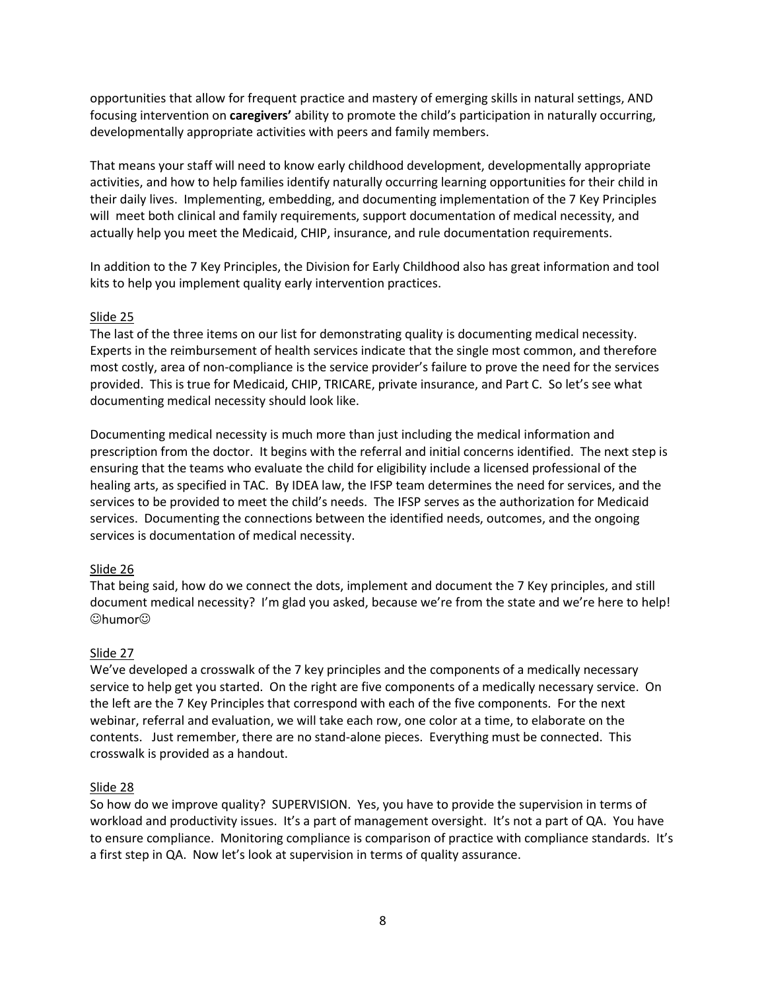opportunities that allow for frequent practice and mastery of emerging skills in natural settings, AND focusing intervention on **caregivers'** ability to promote the child's participation in naturally occurring, developmentally appropriate activities with peers and family members.

That means your staff will need to know early childhood development, developmentally appropriate activities, and how to help families identify naturally occurring learning opportunities for their child in their daily lives. Implementing, embedding, and documenting implementation of the 7 Key Principles will meet both clinical and family requirements, support documentation of medical necessity, and actually help you meet the Medicaid, CHIP, insurance, and rule documentation requirements.

In addition to the 7 Key Principles, the Division for Early Childhood also has great information and tool kits to help you implement quality early intervention practices.

### Slide 25

The last of the three items on our list for demonstrating quality is documenting medical necessity. Experts in the reimbursement of health services indicate that the single most common, and therefore most costly, area of non-compliance is the service provider's failure to prove the need for the services provided. This is true for Medicaid, CHIP, TRICARE, private insurance, and Part C. So let's see what documenting medical necessity should look like.

Documenting medical necessity is much more than just including the medical information and prescription from the doctor. It begins with the referral and initial concerns identified. The next step is ensuring that the teams who evaluate the child for eligibility include a licensed professional of the healing arts, as specified in TAC. By IDEA law, the IFSP team determines the need for services, and the services to be provided to meet the child's needs. The IFSP serves as the authorization for Medicaid services. Documenting the connections between the identified needs, outcomes, and the ongoing services is documentation of medical necessity.

#### Slide 26

That being said, how do we connect the dots, implement and document the 7 Key principles, and still document medical necessity? I'm glad you asked, because we're from the state and we're here to help!  $@$ humor $@$ 

### Slide 27

We've developed a crosswalk of the 7 key principles and the components of a medically necessary service to help get you started. On the right are five components of a medically necessary service. On the left are the 7 Key Principles that correspond with each of the five components. For the next webinar, referral and evaluation, we will take each row, one color at a time, to elaborate on the contents. Just remember, there are no stand-alone pieces. Everything must be connected. This crosswalk is provided as a handout.

#### Slide 28

So how do we improve quality? SUPERVISION. Yes, you have to provide the supervision in terms of workload and productivity issues. It's a part of management oversight. It's not a part of QA. You have to ensure compliance. Monitoring compliance is comparison of practice with compliance standards. It's a first step in QA. Now let's look at supervision in terms of quality assurance.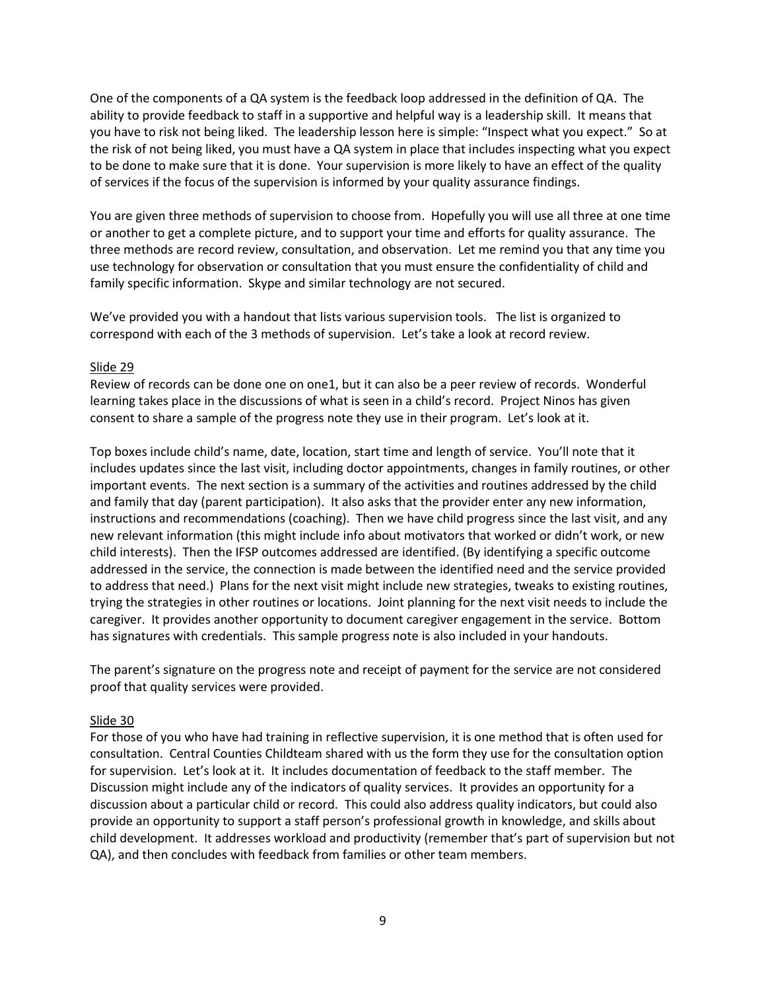One of the components of a QA system is the feedback loop addressed in the definition of QA. The ability to provide feedback to staff in a supportive and helpful way is a leadership skill. It means that you have to risk not being liked. The leadership lesson here is simple: "Inspect what you expect." So at the risk of not being liked, you must have a QA system in place that includes inspecting what you expect to be done to make sure that it is done. Your supervision is more likely to have an effect of the quality of services if the focus of the supervision is informed by your quality assurance findings.

You are given three methods of supervision to choose from. Hopefully you will use all three at one time or another to get a complete picture, and to support your time and efforts for quality assurance. The three methods are record review, consultation, and observation. Let me remind you that any time you use technology for observation or consultation that you must ensure the confidentiality of child and family specific information. Skype and similar technology are not secured.

We've provided you with a handout that lists various supervision tools. The list is organized to correspond with each of the 3 methods of supervision. Let's take a look at record review.

### Slide 29

Review of records can be done one on one1, but it can also be a peer review of records. Wonderful learning takes place in the discussions of what is seen in a child's record. Project Ninos has given consent to share a sample of the progress note they use in their program. Let's look at it.

Top boxes include child's name, date, location, start time and length of service. You'll note that it includes updates since the last visit, including doctor appointments, changes in family routines, or other important events. The next section is a summary of the activities and routines addressed by the child and family that day (parent participation). It also asks that the provider enter any new information, instructions and recommendations (coaching). Then we have child progress since the last visit, and any new relevant information (this might include info about motivators that worked or didn't work, or new child interests). Then the IFSP outcomes addressed are identified. (By identifying a specific outcome addressed in the service, the connection is made between the identified need and the service provided to address that need.) Plans for the next visit might include new strategies, tweaks to existing routines, trying the strategies in other routines or locations. Joint planning for the next visit needs to include the caregiver. It provides another opportunity to document caregiver engagement in the service. Bottom has signatures with credentials. This sample progress note is also included in your handouts.

The parent's signature on the progress note and receipt of payment for the service are not considered proof that quality services were provided.

### Slide 30

For those of you who have had training in reflective supervision, it is one method that is often used for consultation. Central Counties Childteam shared with us the form they use for the consultation option for supervision. Let's look at it. It includes documentation of feedback to the staff member. The Discussion might include any of the indicators of quality services. It provides an opportunity for a discussion about a particular child or record. This could also address quality indicators, but could also provide an opportunity to support a staff person's professional growth in knowledge, and skills about child development. It addresses workload and productivity (remember that's part of supervision but not QA), and then concludes with feedback from families or other team members.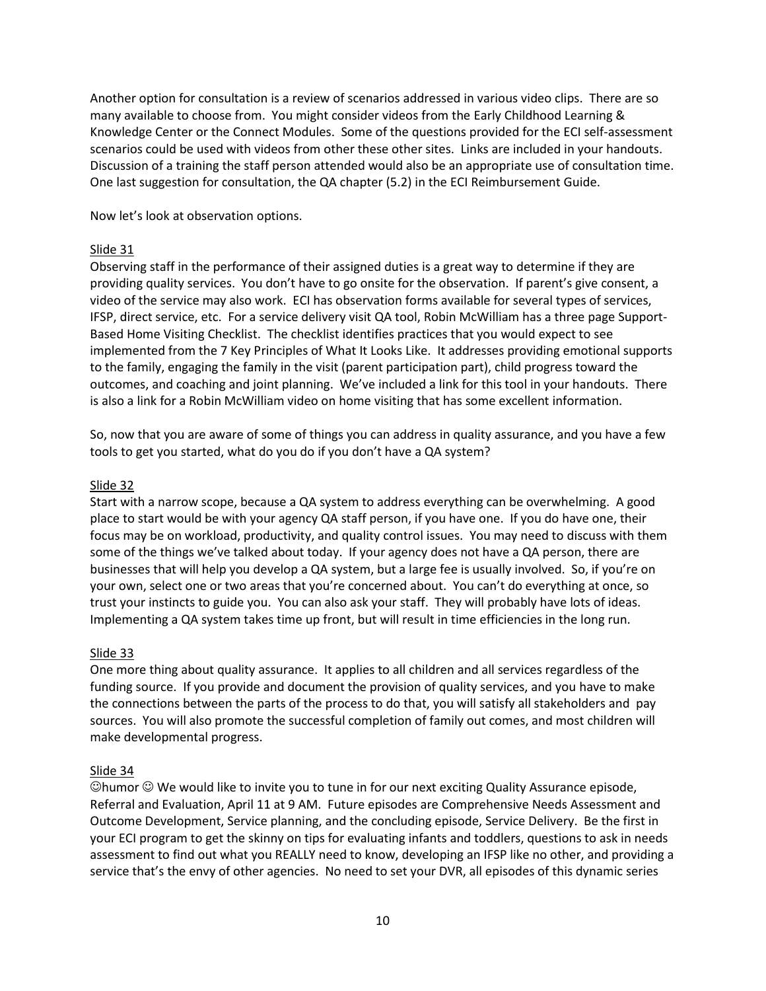Another option for consultation is a review of scenarios addressed in various video clips. There are so many available to choose from. You might consider videos from the Early Childhood Learning & Knowledge Center or the Connect Modules. Some of the questions provided for the ECI self-assessment scenarios could be used with videos from other these other sites. Links are included in your handouts. Discussion of a training the staff person attended would also be an appropriate use of consultation time. One last suggestion for consultation, the QA chapter (5.2) in the ECI Reimbursement Guide.

Now let's look at observation options.

### Slide 31

Observing staff in the performance of their assigned duties is a great way to determine if they are providing quality services. You don't have to go onsite for the observation. If parent's give consent, a video of the service may also work. ECI has observation forms available for several types of services, IFSP, direct service, etc. For a service delivery visit QA tool, Robin McWilliam has a three page Support-Based Home Visiting Checklist. The checklist identifies practices that you would expect to see implemented from the 7 Key Principles of What It Looks Like. It addresses providing emotional supports to the family, engaging the family in the visit (parent participation part), child progress toward the outcomes, and coaching and joint planning. We've included a link for this tool in your handouts. There is also a link for a Robin McWilliam video on home visiting that has some excellent information.

So, now that you are aware of some of things you can address in quality assurance, and you have a few tools to get you started, what do you do if you don't have a QA system?

#### Slide 32

Start with a narrow scope, because a QA system to address everything can be overwhelming. A good place to start would be with your agency QA staff person, if you have one. If you do have one, their focus may be on workload, productivity, and quality control issues. You may need to discuss with them some of the things we've talked about today. If your agency does not have a QA person, there are businesses that will help you develop a QA system, but a large fee is usually involved. So, if you're on your own, select one or two areas that you're concerned about. You can't do everything at once, so trust your instincts to guide you. You can also ask your staff. They will probably have lots of ideas. Implementing a QA system takes time up front, but will result in time efficiencies in the long run.

### Slide 33

One more thing about quality assurance. It applies to all children and all services regardless of the funding source. If you provide and document the provision of quality services, and you have to make the connections between the parts of the process to do that, you will satisfy all stakeholders and pay sources. You will also promote the successful completion of family out comes, and most children will make developmental progress.

### Slide 34

 $\heartsuit$ humor  $\heartsuit$  We would like to invite you to tune in for our next exciting Quality Assurance episode, Referral and Evaluation, April 11 at 9 AM. Future episodes are Comprehensive Needs Assessment and Outcome Development, Service planning, and the concluding episode, Service Delivery. Be the first in your ECI program to get the skinny on tips for evaluating infants and toddlers, questions to ask in needs assessment to find out what you REALLY need to know, developing an IFSP like no other, and providing a service that's the envy of other agencies. No need to set your DVR, all episodes of this dynamic series